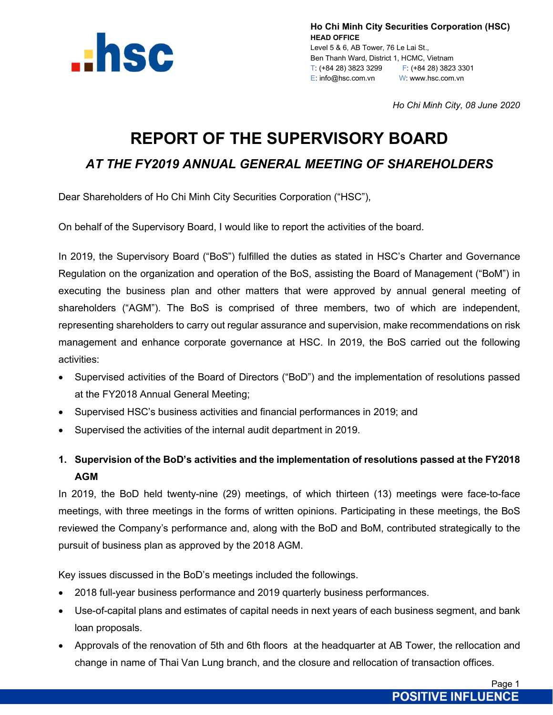

**Ho Chi Minh City Securities Corporation (HSC) HEAD OFFICE** Level 5 & 6, AB Tower, 76 Le Lai St., Ben Thanh Ward, District 1, HCMC, Vietnam T: (+84 28) 3823 3299 F: (+84 28) 3823 3301 E: info@hsc.com.vn W: www.hsc.com.vn

*Ho Chi Minh City, 08 June 2020*

# **REPORT OF THE SUPERVISORY BOARD** *AT THE FY2019 ANNUAL GENERAL MEETING OF SHAREHOLDERS*

Dear Shareholders of Ho Chi Minh City Securities Corporation ("HSC"),

On behalf of the Supervisory Board, I would like to report the activities of the board.

In 2019, the Supervisory Board ("BoS") fulfilled the duties as stated in HSC's Charter and Governance Regulation on the organization and operation of the BoS, assisting the Board of Management ("BoM") in executing the business plan and other matters that were approved by annual general meeting of shareholders ("AGM"). The BoS is comprised of three members, two of which are independent, representing shareholders to carry out regular assurance and supervision, make recommendations on risk management and enhance corporate governance at HSC. In 2019, the BoS carried out the following activities:

- Supervised activities of the Board of Directors ("BoD") and the implementation of resolutions passed at the FY2018 Annual General Meeting;
- Supervised HSC's business activities and financial performances in 2019; and
- Supervised the activities of the internal audit department in 2019.
- **1. Supervision of the BoD's activities and the implementation of resolutions passed at the FY2018 AGM**

In 2019, the BoD held twenty-nine (29) meetings, of which thirteen (13) meetings were face-to-face meetings, with three meetings in the forms of written opinions. Participating in these meetings, the BoS reviewed the Company's performance and, along with the BoD and BoM, contributed strategically to the pursuit of business plan as approved by the 2018 AGM.

Key issues discussed in the BoD's meetings included the followings.

- 2018 full-year business performance and 2019 quarterly business performances.
- Use-of-capital plans and estimates of capital needs in next years of each business segment, and bank loan proposals.
- Approvals of the renovation of 5th and 6th floors at the headquarter at AB Tower, the rellocation and change in name of Thai Van Lung branch, and the closure and rellocation of transaction offices.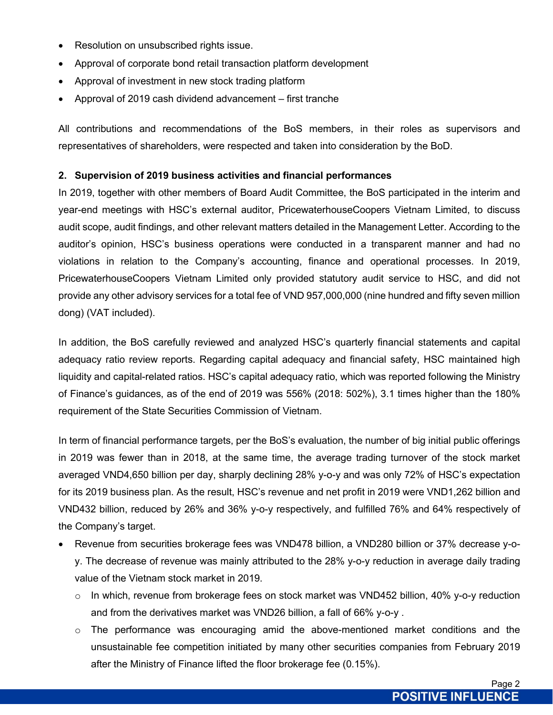- Resolution on unsubscribed rights issue.
- Approval of corporate bond retail transaction platform development
- Approval of investment in new stock trading platform
- Approval of 2019 cash dividend advancement first tranche

All contributions and recommendations of the BoS members, in their roles as supervisors and representatives of shareholders, were respected and taken into consideration by the BoD.

### **2. Supervision of 2019 business activities and financial performances**

In 2019, together with other members of Board Audit Committee, the BoS participated in the interim and year-end meetings with HSC's external auditor, PricewaterhouseCoopers Vietnam Limited, to discuss audit scope, audit findings, and other relevant matters detailed in the Management Letter. According to the auditor's opinion, HSC's business operations were conducted in a transparent manner and had no violations in relation to the Company's accounting, finance and operational processes. In 2019, PricewaterhouseCoopers Vietnam Limited only provided statutory audit service to HSC, and did not provide any other advisory services for a total fee of VND 957,000,000 (nine hundred and fifty seven million dong) (VAT included).

In addition, the BoS carefully reviewed and analyzed HSC's quarterly financial statements and capital adequacy ratio review reports. Regarding capital adequacy and financial safety, HSC maintained high liquidity and capital-related ratios. HSC's capital adequacy ratio, which was reported following the Ministry of Finance's guidances, as of the end of 2019 was 556% (2018: 502%), 3.1 times higher than the 180% requirement of the State Securities Commission of Vietnam.

In term of financial performance targets, per the BoS's evaluation, the number of big initial public offerings in 2019 was fewer than in 2018, at the same time, the average trading turnover of the stock market averaged VND4,650 billion per day, sharply declining 28% y-o-y and was only 72% of HSC's expectation for its 2019 business plan. As the result, HSC's revenue and net profit in 2019 were VND1,262 billion and VND432 billion, reduced by 26% and 36% y-o-y respectively, and fulfilled 76% and 64% respectively of the Company's target.

- Revenue from securities brokerage fees was VND478 billion, a VND280 billion or 37% decrease y-oy. The decrease of revenue was mainly attributed to the 28% y-o-y reduction in average daily trading value of the Vietnam stock market in 2019.
	- $\circ$  In which, revenue from brokerage fees on stock market was VND452 billion, 40% y-o-y reduction and from the derivatives market was VND26 billion, a fall of 66% y-o-y .
	- $\circ$  The performance was encouraging amid the above-mentioned market conditions and the unsustainable fee competition initiated by many other securities companies from February 2019 after the Ministry of Finance lifted the floor brokerage fee (0.15%).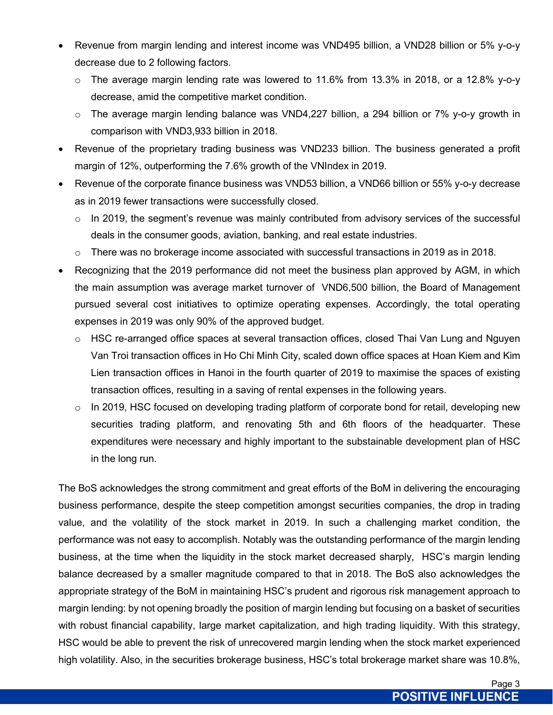- Revenue from margin lending and interest income was VND495 billion, a VND28 billion or 5% y-o-y decrease due to 2 following factors.
	- $\circ$  The average margin lending rate was lowered to 11.6% from 13.3% in 2018, or a 12.8% y-o-y decrease, amid the competitive market condition.
	- o The average margin lending balance was VND4,227 billion, a 294 billion or 7% y-o-y growth in comparison with VND3,933 billion in 2018.
- Revenue of the proprietary trading business was VND233 billion. The business generated a profit margin of 12%, outperforming the 7.6% growth of the VNIndex in 2019.
- Revenue of the corporate finance business was VND53 billion, a VND66 billion or 55% y-o-y decrease as in 2019 fewer transactions were successfully closed.
	- o In 2019, the segment's revenue was mainly contributed from advisory services of the successful deals in the consumer goods, aviation, banking, and real estate industries.
	- $\circ$  There was no brokerage income associated with successful transactions in 2019 as in 2018.
- Recognizing that the 2019 performance did not meet the business plan approved by AGM, in which the main assumption was average market turnover of VND6,500 billion, the Board of Management pursued several cost initiatives to optimize operating expenses. Accordingly, the total operating expenses in 2019 was only 90% of the approved budget.
	- o HSC re-arranged office spaces at several transaction offices, closed Thai Van Lung and Nguyen Van Troi transaction offices in Ho Chi Minh City, scaled down office spaces at Hoan Kiem and Kim Lien transaction offices in Hanoi in the fourth quarter of 2019 to maximise the spaces of existing transaction offices, resulting in a saving of rental expenses in the following years.
	- $\circ$  In 2019, HSC focused on developing trading platform of corporate bond for retail, developing new securities trading platform, and renovating 5th and 6th floors of the headquarter. These expenditures were necessary and highly important to the substainable development plan of HSC in the long run.

The BoS acknowledges the strong commitment and great efforts of the BoM in delivering the encouraging business performance, despite the steep competition amongst securities companies, the drop in trading value, and the volatility of the stock market in 2019. In such a challenging market condition, the performance was not easy to accomplish. Notably was the outstanding performance of the margin lending business, at the time when the liquidity in the stock market decreased sharply, HSC's margin lending balance decreased by a smaller magnitude compared to that in 2018. The BoS also acknowledges the appropriate strategy of the BoM in maintaining HSC's prudent and rigorous risk management approach to margin lending: by not opening broadly the position of margin lending but focusing on a basket of securities with robust financial capability, large market capitalization, and high trading liquidity. With this strategy, HSC would be able to prevent the risk of unrecovered margin lending when the stock market experienced high volatility. Also, in the securities brokerage business, HSC's total brokerage market share was 10.8%,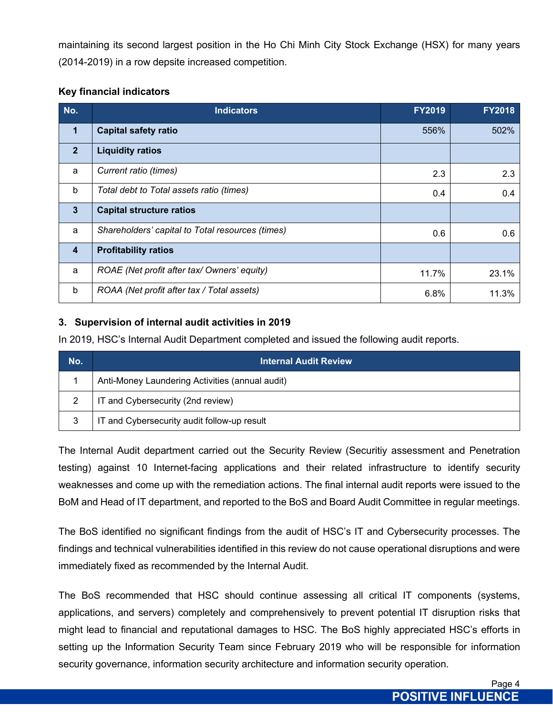maintaining its second largest position in the Ho Chi Minh City Stock Exchange (HSX) for many years (2014-2019) in a row depsite increased competition.

### **Key financial indicators**

| No.                     | <b>Indicators</b>                                | <b>FY2019</b> | <b>FY2018</b> |
|-------------------------|--------------------------------------------------|---------------|---------------|
| 1                       | <b>Capital safety ratio</b>                      | 556%          | 502%          |
| $\overline{2}$          | <b>Liquidity ratios</b>                          |               |               |
| a                       | Current ratio (times)                            | 2.3           | 2.3           |
| $\mathbf b$             | Total debt to Total assets ratio (times)         | 0.4           | 0.4           |
| $\mathbf{3}$            | <b>Capital structure ratios</b>                  |               |               |
| a                       | Shareholders' capital to Total resources (times) | 0.6           | 0.6           |
| $\overline{\mathbf{4}}$ | <b>Profitability ratios</b>                      |               |               |
| a                       | ROAE (Net profit after tax/ Owners' equity)      | 11.7%         | 23.1%         |
| b                       | ROAA (Net profit after tax / Total assets)       | 6.8%          | 11.3%         |

## **3. Supervision of internal audit activities in 2019**

In 2019, HSC's Internal Audit Department completed and issued the following audit reports.

| $N$ o. | <b>Internal Audit Review</b>                    |
|--------|-------------------------------------------------|
|        | Anti-Money Laundering Activities (annual audit) |
|        | IT and Cybersecurity (2nd review)               |
|        | IT and Cybersecurity audit follow-up result     |

The Internal Audit department carried out the Security Review (Securitiy assessment and Penetration testing) against 10 Internet-facing applications and their related infrastructure to identify security weaknesses and come up with the remediation actions. The final internal audit reports were issued to the BoM and Head of IT department, and reported to the BoS and Board Audit Committee in regular meetings.

The BoS identified no significant findings from the audit of HSC's IT and Cybersecurity processes. The findings and technical vulnerabilities identified in this review do not cause operational disruptions and were immediately fixed as recommended by the Internal Audit.

The BoS recommended that HSC should continue assessing all critical IT components (systems, applications, and servers) completely and comprehensively to prevent potential IT disruption risks that might lead to financial and reputational damages to HSC. The BoS highly appreciated HSC's efforts in setting up the Information Security Team since February 2019 who will be responsible for information security governance, information security architecture and information security operation.